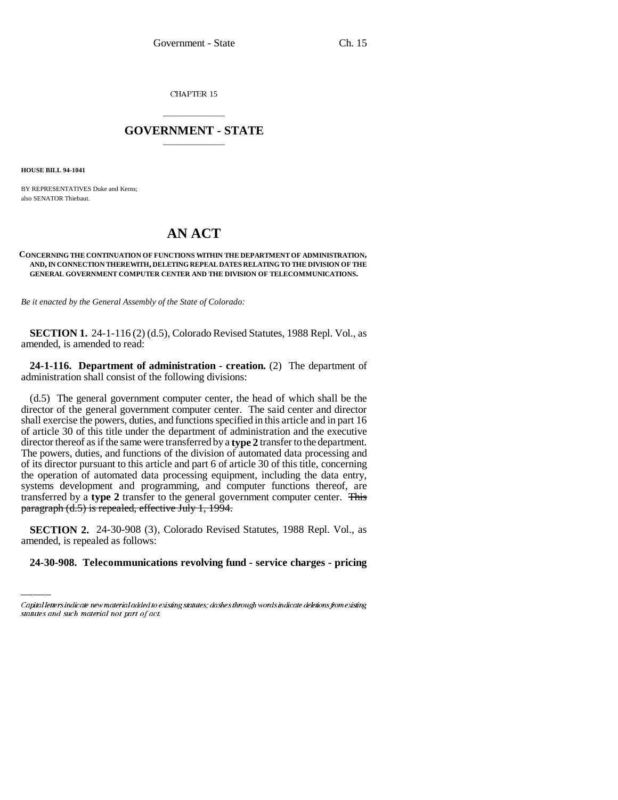CHAPTER 15

## \_\_\_\_\_\_\_\_\_\_\_\_\_\_\_ **GOVERNMENT - STATE** \_\_\_\_\_\_\_\_\_\_\_\_\_\_\_

**HOUSE BILL 94-1041**

BY REPRESENTATIVES Duke and Kerns; also SENATOR Thiebaut.

# **AN ACT**

#### **CONCERNING THE CONTINUATION OF FUNCTIONS WITHIN THE DEPARTMENT OF ADMINISTRATION, AND, IN CONNECTION THEREWITH, DELETING REPEAL DATES RELATING TO THE DIVISION OF THE GENERAL GOVERNMENT COMPUTER CENTER AND THE DIVISION OF TELECOMMUNICATIONS.**

*Be it enacted by the General Assembly of the State of Colorado:*

**SECTION 1.** 24-1-116 (2) (d.5), Colorado Revised Statutes, 1988 Repl. Vol., as amended, is amended to read:

**24-1-116. Department of administration - creation.** (2) The department of administration shall consist of the following divisions:

(d.5) The general government computer center, the head of which shall be the director of the general government computer center. The said center and director shall exercise the powers, duties, and functions specified in this article and in part 16 of article 30 of this title under the department of administration and the executive director thereof as if the same were transferred by a **type 2** transfer to the department. The powers, duties, and functions of the division of automated data processing and of its director pursuant to this article and part 6 of article 30 of this title, concerning the operation of automated data processing equipment, including the data entry, systems development and programming, and computer functions thereof, are transferred by a **type 2** transfer to the general government computer center. This paragraph (d.5) is repealed, effective July 1, 1994.

**SECTION 2.** 24-30-908 (3), Colorado Revised Statutes, 1988 Repl. Vol., as amended, is repealed as follows:

### **24-30-908. Telecommunications revolving fund - service charges - pricing**

Capital letters indicate new material added to existing statutes; dashes through words indicate deletions from existing statutes and such material not part of act.